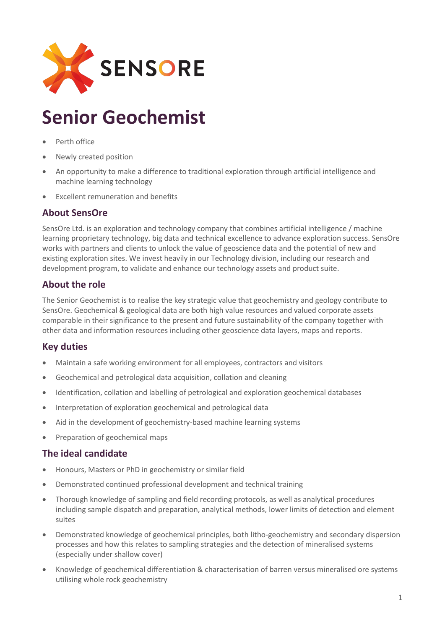

# **Senior Geochemist**

- Perth office
- Newly created position
- An opportunity to make a difference to traditional exploration through artificial intelligence and machine learning technology
- Excellent remuneration and benefits

## **About SensOre**

SensOre Ltd. is an exploration and technology company that combines artificial intelligence / machine learning proprietary technology, big data and technical excellence to advance exploration success. SensOre works with partners and clients to unlock the value of geoscience data and the potential of new and existing exploration sites. We invest heavily in our Technology division, including our research and development program, to validate and enhance our technology assets and product suite.

## **About the role**

The Senior Geochemist is to realise the key strategic value that geochemistry and geology contribute to SensOre. Geochemical & geological data are both high value resources and valued corporate assets comparable in their significance to the present and future sustainability of the company together with other data and information resources including other geoscience data layers, maps and reports.

## **Key duties**

- Maintain a safe working environment for all employees, contractors and visitors
- Geochemical and petrological data acquisition, collation and cleaning
- Identification, collation and labelling of petrological and exploration geochemical databases
- Interpretation of exploration geochemical and petrological data
- Aid in the development of geochemistry-based machine learning systems
- Preparation of geochemical maps

## **The ideal candidate**

- Honours, Masters or PhD in geochemistry or similar field
- Demonstrated continued professional development and technical training
- Thorough knowledge of sampling and field recording protocols, as well as analytical procedures including sample dispatch and preparation, analytical methods, lower limits of detection and element suites
- Demonstrated knowledge of geochemical principles, both litho-geochemistry and secondary dispersion processes and how this relates to sampling strategies and the detection of mineralised systems (especially under shallow cover)
- Knowledge of geochemical differentiation & characterisation of barren versus mineralised ore systems utilising whole rock geochemistry